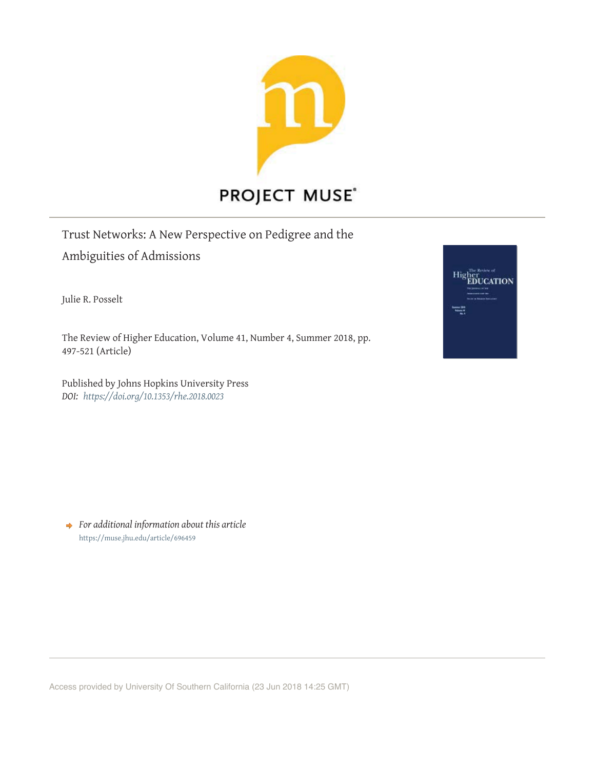

Trust Networks: A New Perspective on Pedigree and the Ambiguities of Admissions

Julie R. Posselt

The Review of Higher Education, Volume 41, Number 4, Summer 2018, pp. 497-521 (Article)

Published by Johns Hopkins University Press DOI: https://doi.org/10.1353/rhe.2018.0023



 $\rightarrow$  For additional information about this article https://muse.jhu.edu/article/696459

Access provided by University Of Southern California (23 Jun 2018 14:25 GMT)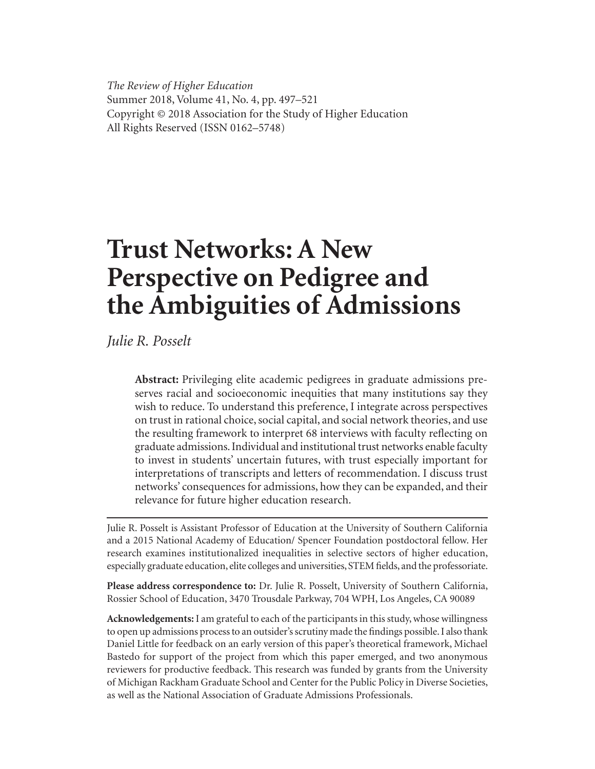*The Review of Higher Education* Summer 2018, Volume 41, No. 4, pp. 497–521 Copyright © 2018 Association for the Study of Higher Education All Rights Reserved (ISSN 0162–5748)

# **Trust Networks: A New Perspective on Pedigree and the Ambiguities of Admissions**

*Julie R. Posselt*

**Abstract:** Privileging elite academic pedigrees in graduate admissions preserves racial and socioeconomic inequities that many institutions say they wish to reduce. To understand this preference, I integrate across perspectives on trust in rational choice, social capital, and social network theories, and use the resulting framework to interpret 68 interviews with faculty reflecting on graduate admissions. Individual and institutional trust networks enable faculty to invest in students' uncertain futures, with trust especially important for interpretations of transcripts and letters of recommendation. I discuss trust networks' consequences for admissions, how they can be expanded, and their relevance for future higher education research.

Julie R. Posselt is Assistant Professor of Education at the University of Southern California and a 2015 National Academy of Education/ Spencer Foundation postdoctoral fellow. Her research examines institutionalized inequalities in selective sectors of higher education, especially graduate education, elite colleges and universities, STEM fields, and the professoriate.

**Please address correspondence to:** Dr. Julie R. Posselt, University of Southern California, Rossier School of Education, 3470 Trousdale Parkway, 704 WPH, Los Angeles, CA 90089

**Acknowledgements:** I am grateful to each of the participants in this study, whose willingness to open up admissions process to an outsider's scrutiny made the findings possible. I also thank Daniel Little for feedback on an early version of this paper's theoretical framework, Michael Bastedo for support of the project from which this paper emerged, and two anonymous reviewers for productive feedback. This research was funded by grants from the University of Michigan Rackham Graduate School and Center for the Public Policy in Diverse Societies, as well as the National Association of Graduate Admissions Professionals.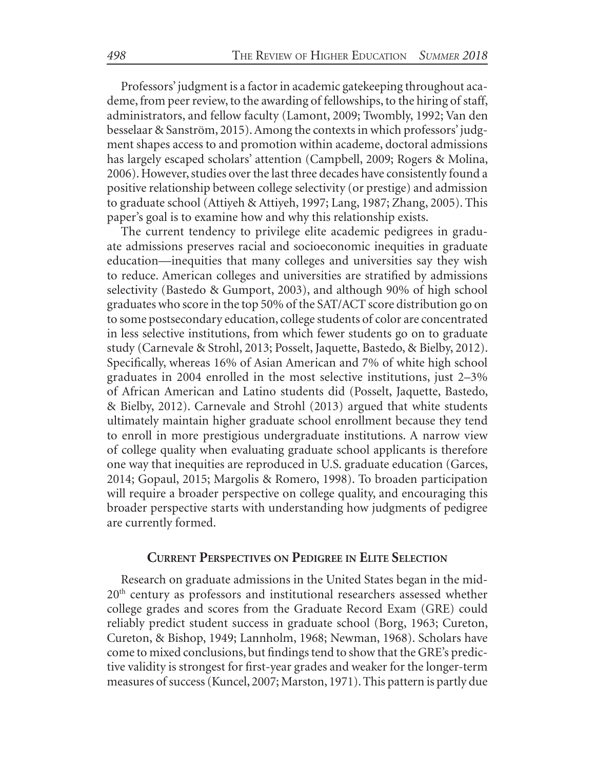Professors' judgment is a factor in academic gatekeeping throughout academe, from peer review, to the awarding of fellowships, to the hiring of staff, administrators, and fellow faculty (Lamont, 2009; Twombly, 1992; Van den besselaar & Sanström, 2015). Among the contexts in which professors' judgment shapes access to and promotion within academe, doctoral admissions has largely escaped scholars' attention (Campbell, 2009; Rogers & Molina, 2006). However, studies over the last three decades have consistently found a positive relationship between college selectivity (or prestige) and admission to graduate school (Attiyeh & Attiyeh, 1997; Lang, 1987; Zhang, 2005). This paper's goal is to examine how and why this relationship exists.

The current tendency to privilege elite academic pedigrees in graduate admissions preserves racial and socioeconomic inequities in graduate education—inequities that many colleges and universities say they wish to reduce. American colleges and universities are stratified by admissions selectivity (Bastedo & Gumport, 2003), and although 90% of high school graduates who score in the top 50% of the SAT/ACT score distribution go on to some postsecondary education, college students of color are concentrated in less selective institutions, from which fewer students go on to graduate study (Carnevale & Strohl, 2013; Posselt, Jaquette, Bastedo, & Bielby, 2012). Specifically, whereas 16% of Asian American and 7% of white high school graduates in 2004 enrolled in the most selective institutions, just 2–3% of African American and Latino students did (Posselt, Jaquette, Bastedo, & Bielby, 2012). Carnevale and Strohl (2013) argued that white students ultimately maintain higher graduate school enrollment because they tend to enroll in more prestigious undergraduate institutions. A narrow view of college quality when evaluating graduate school applicants is therefore one way that inequities are reproduced in U.S. graduate education (Garces, 2014; Gopaul, 2015; Margolis & Romero, 1998). To broaden participation will require a broader perspective on college quality, and encouraging this broader perspective starts with understanding how judgments of pedigree are currently formed.

# **CURRENT PERSPECTIVES ON PEDIGREE IN ELITE SELECTION**

Research on graduate admissions in the United States began in the mid-20<sup>th</sup> century as professors and institutional researchers assessed whether college grades and scores from the Graduate Record Exam (GRE) could reliably predict student success in graduate school (Borg, 1963; Cureton, Cureton, & Bishop, 1949; Lannholm, 1968; Newman, 1968). Scholars have come to mixed conclusions, but findings tend to show that the GRE's predictive validity is strongest for first-year grades and weaker for the longer-term measures of success (Kuncel, 2007; Marston, 1971). This pattern is partly due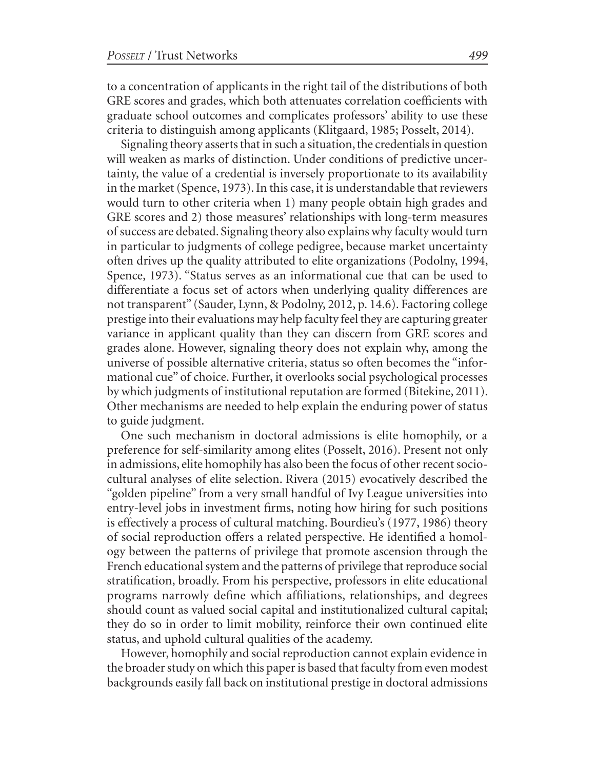to a concentration of applicants in the right tail of the distributions of both GRE scores and grades, which both attenuates correlation coefficients with graduate school outcomes and complicates professors' ability to use these criteria to distinguish among applicants (Klitgaard, 1985; Posselt, 2014).

Signaling theory asserts that in such a situation, the credentials in question will weaken as marks of distinction. Under conditions of predictive uncertainty, the value of a credential is inversely proportionate to its availability in the market (Spence, 1973). In this case, it is understandable that reviewers would turn to other criteria when 1) many people obtain high grades and GRE scores and 2) those measures' relationships with long-term measures of success are debated. Signaling theory also explains why faculty would turn in particular to judgments of college pedigree, because market uncertainty often drives up the quality attributed to elite organizations (Podolny, 1994, Spence, 1973). "Status serves as an informational cue that can be used to differentiate a focus set of actors when underlying quality differences are not transparent" (Sauder, Lynn, & Podolny, 2012, p. 14.6). Factoring college prestige into their evaluations may help faculty feel they are capturing greater variance in applicant quality than they can discern from GRE scores and grades alone. However, signaling theory does not explain why, among the universe of possible alternative criteria, status so often becomes the "informational cue" of choice. Further, it overlooks social psychological processes by which judgments of institutional reputation are formed (Bitekine, 2011). Other mechanisms are needed to help explain the enduring power of status to guide judgment.

One such mechanism in doctoral admissions is elite homophily, or a preference for self-similarity among elites (Posselt, 2016). Present not only in admissions, elite homophily has also been the focus of other recent sociocultural analyses of elite selection. Rivera (2015) evocatively described the "golden pipeline" from a very small handful of Ivy League universities into entry-level jobs in investment firms, noting how hiring for such positions is effectively a process of cultural matching. Bourdieu's (1977, 1986) theory of social reproduction offers a related perspective. He identified a homology between the patterns of privilege that promote ascension through the French educational system and the patterns of privilege that reproduce social stratification, broadly. From his perspective, professors in elite educational programs narrowly define which affiliations, relationships, and degrees should count as valued social capital and institutionalized cultural capital; they do so in order to limit mobility, reinforce their own continued elite status, and uphold cultural qualities of the academy.

However, homophily and social reproduction cannot explain evidence in the broader study on which this paper is based that faculty from even modest backgrounds easily fall back on institutional prestige in doctoral admissions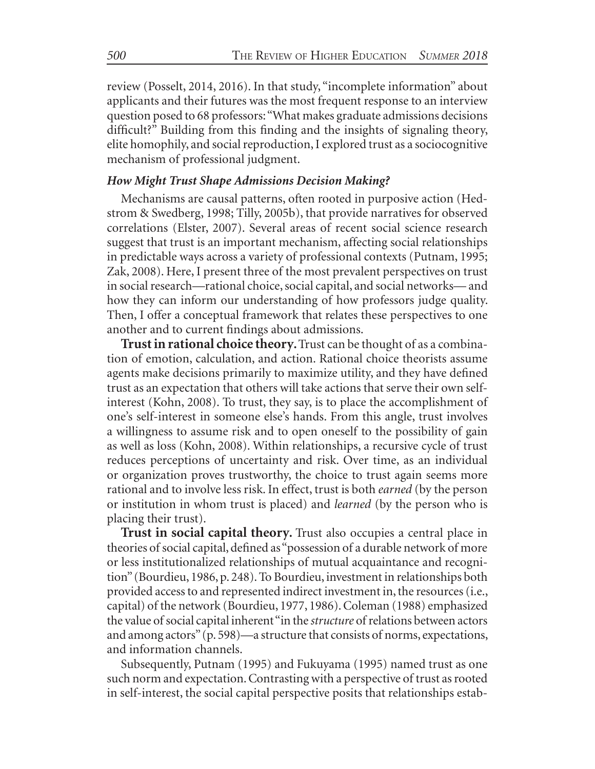review (Posselt, 2014, 2016). In that study, "incomplete information" about applicants and their futures was the most frequent response to an interview question posed to 68 professors: "What makes graduate admissions decisions difficult?" Building from this finding and the insights of signaling theory, elite homophily, and social reproduction, I explored trust as a sociocognitive mechanism of professional judgment.

## *How Might Trust Shape Admissions Decision Making?*

Mechanisms are causal patterns, often rooted in purposive action (Hedstrom & Swedberg, 1998; Tilly, 2005b), that provide narratives for observed correlations (Elster, 2007). Several areas of recent social science research suggest that trust is an important mechanism, affecting social relationships in predictable ways across a variety of professional contexts (Putnam, 1995; Zak, 2008). Here, I present three of the most prevalent perspectives on trust in social research—rational choice, social capital, and social networks— and how they can inform our understanding of how professors judge quality. Then, I offer a conceptual framework that relates these perspectives to one another and to current findings about admissions.

**Trust in rational choice theory.** Trust can be thought of as a combination of emotion, calculation, and action. Rational choice theorists assume agents make decisions primarily to maximize utility, and they have defined trust as an expectation that others will take actions that serve their own selfinterest (Kohn, 2008). To trust, they say, is to place the accomplishment of one's self-interest in someone else's hands. From this angle, trust involves a willingness to assume risk and to open oneself to the possibility of gain as well as loss (Kohn, 2008). Within relationships, a recursive cycle of trust reduces perceptions of uncertainty and risk. Over time, as an individual or organization proves trustworthy, the choice to trust again seems more rational and to involve less risk. In effect, trust is both *earned* (by the person or institution in whom trust is placed) and *learned* (by the person who is placing their trust).

**Trust in social capital theory.** Trust also occupies a central place in theories of social capital, defined as "possession of a durable network of more or less institutionalized relationships of mutual acquaintance and recognition" (Bourdieu, 1986, p. 248). To Bourdieu, investment in relationships both provided access to and represented indirect investment in, the resources (i.e., capital) of the network (Bourdieu, 1977, 1986). Coleman (1988) emphasized the value of social capital inherent "in the *structure* of relations between actors and among actors" (p. 598)—a structure that consists of norms, expectations, and information channels.

Subsequently, Putnam (1995) and Fukuyama (1995) named trust as one such norm and expectation. Contrasting with a perspective of trust as rooted in self-interest, the social capital perspective posits that relationships estab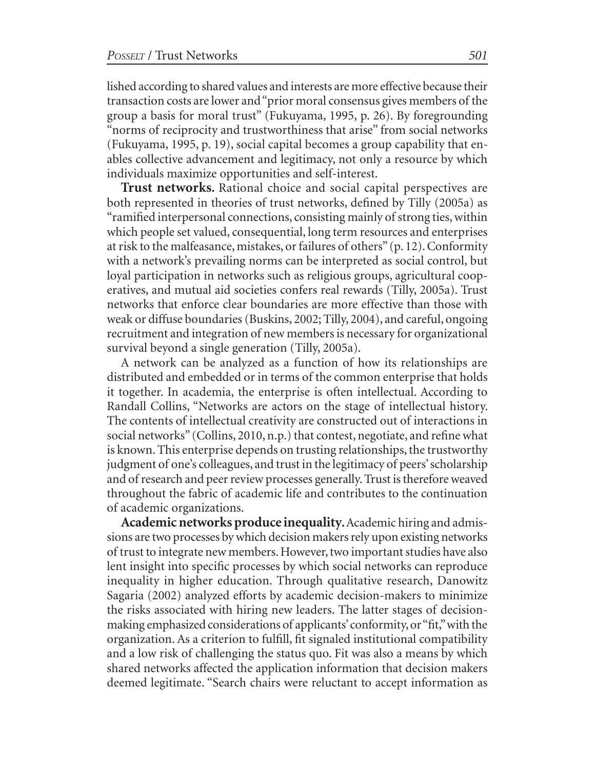lished according to shared values and interests are more effective because their transaction costs are lower and "prior moral consensus gives members of the group a basis for moral trust" (Fukuyama, 1995, p. 26). By foregrounding "norms of reciprocity and trustworthiness that arise" from social networks (Fukuyama, 1995, p. 19), social capital becomes a group capability that enables collective advancement and legitimacy, not only a resource by which individuals maximize opportunities and self-interest.

**Trust networks.** Rational choice and social capital perspectives are both represented in theories of trust networks, defined by Tilly (2005a) as "ramified interpersonal connections, consisting mainly of strong ties, within which people set valued, consequential, long term resources and enterprises at risk to the malfeasance, mistakes, or failures of others" (p. 12). Conformity with a network's prevailing norms can be interpreted as social control, but loyal participation in networks such as religious groups, agricultural cooperatives, and mutual aid societies confers real rewards (Tilly, 2005a). Trust networks that enforce clear boundaries are more effective than those with weak or diffuse boundaries (Buskins, 2002; Tilly, 2004), and careful, ongoing recruitment and integration of new members is necessary for organizational survival beyond a single generation (Tilly, 2005a).

A network can be analyzed as a function of how its relationships are distributed and embedded or in terms of the common enterprise that holds it together. In academia, the enterprise is often intellectual. According to Randall Collins, "Networks are actors on the stage of intellectual history. The contents of intellectual creativity are constructed out of interactions in social networks" (Collins, 2010, n.p.) that contest, negotiate, and refine what is known. This enterprise depends on trusting relationships, the trustworthy judgment of one's colleagues, and trust in the legitimacy of peers' scholarship and of research and peer review processes generally. Trust is therefore weaved throughout the fabric of academic life and contributes to the continuation of academic organizations.

**Academic networks produce inequality.** Academic hiring and admissions are two processes by which decision makers rely upon existing networks of trust to integrate new members. However, two important studies have also lent insight into specific processes by which social networks can reproduce inequality in higher education. Through qualitative research, Danowitz Sagaria (2002) analyzed efforts by academic decision-makers to minimize the risks associated with hiring new leaders. The latter stages of decisionmaking emphasized considerations of applicants' conformity, or "fit," with the organization. As a criterion to fulfill, fit signaled institutional compatibility and a low risk of challenging the status quo. Fit was also a means by which shared networks affected the application information that decision makers deemed legitimate. "Search chairs were reluctant to accept information as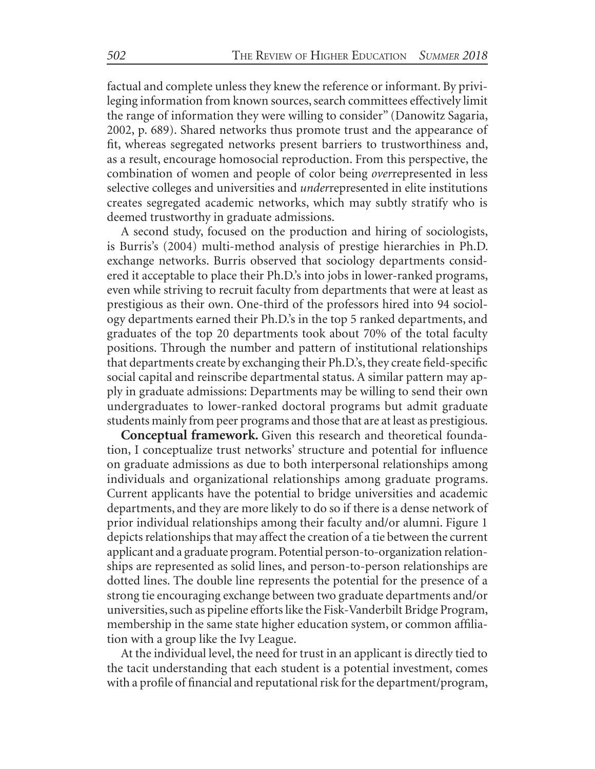factual and complete unless they knew the reference or informant. By privileging information from known sources, search committees effectively limit the range of information they were willing to consider" (Danowitz Sagaria, 2002, p. 689). Shared networks thus promote trust and the appearance of fit, whereas segregated networks present barriers to trustworthiness and, as a result, encourage homosocial reproduction. From this perspective, the combination of women and people of color being *over*represented in less selective colleges and universities and *under*represented in elite institutions creates segregated academic networks, which may subtly stratify who is deemed trustworthy in graduate admissions.

A second study, focused on the production and hiring of sociologists, is Burris's (2004) multi-method analysis of prestige hierarchies in Ph.D. exchange networks. Burris observed that sociology departments considered it acceptable to place their Ph.D.'s into jobs in lower-ranked programs, even while striving to recruit faculty from departments that were at least as prestigious as their own. One-third of the professors hired into 94 sociology departments earned their Ph.D.'s in the top 5 ranked departments, and graduates of the top 20 departments took about 70% of the total faculty positions. Through the number and pattern of institutional relationships that departments create by exchanging their Ph.D.'s, they create field-specific social capital and reinscribe departmental status. A similar pattern may apply in graduate admissions: Departments may be willing to send their own undergraduates to lower-ranked doctoral programs but admit graduate students mainly from peer programs and those that are at least as prestigious.

**Conceptual framework.** Given this research and theoretical foundation, I conceptualize trust networks' structure and potential for influence on graduate admissions as due to both interpersonal relationships among individuals and organizational relationships among graduate programs. Current applicants have the potential to bridge universities and academic departments, and they are more likely to do so if there is a dense network of prior individual relationships among their faculty and/or alumni. Figure 1 depicts relationships that may affect the creation of a tie between the current applicant and a graduate program. Potential person-to-organization relationships are represented as solid lines, and person-to-person relationships are dotted lines. The double line represents the potential for the presence of a strong tie encouraging exchange between two graduate departments and/or universities, such as pipeline efforts like the Fisk-Vanderbilt Bridge Program, membership in the same state higher education system, or common affiliation with a group like the Ivy League.

At the individual level, the need for trust in an applicant is directly tied to the tacit understanding that each student is a potential investment, comes with a profile of financial and reputational risk for the department/program,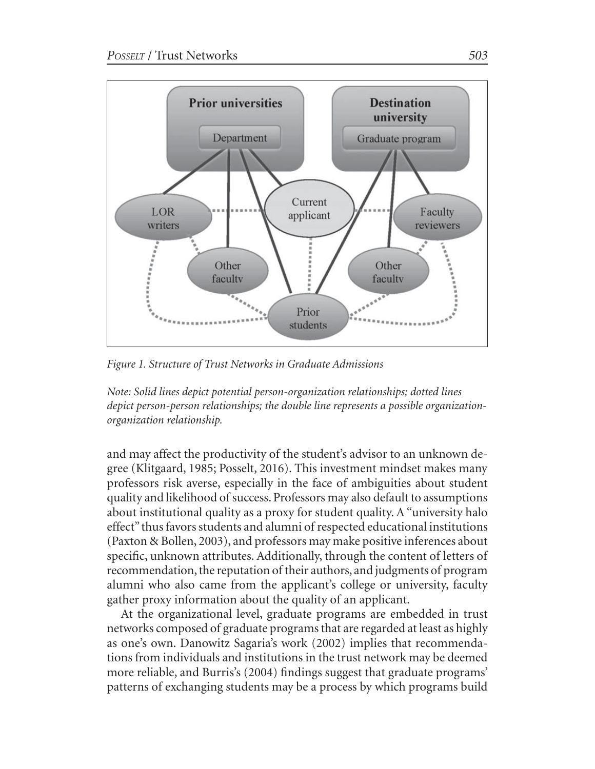

*Figure 1. Structure of Trust Networks in Graduate Admissions*

*Note: Solid lines depict potential person-organization relationships; dotted lines depict person-person relationships; the double line represents a possible organizationorganization relationship.* 

and may affect the productivity of the student's advisor to an unknown degree (Klitgaard, 1985; Posselt, 2016). This investment mindset makes many professors risk averse, especially in the face of ambiguities about student quality and likelihood of success. Professors may also default to assumptions about institutional quality as a proxy for student quality. A "university halo effect" thus favors students and alumni of respected educational institutions (Paxton & Bollen, 2003), and professors may make positive inferences about specific, unknown attributes. Additionally, through the content of letters of recommendation, the reputation of their authors, and judgments of program alumni who also came from the applicant's college or university, faculty gather proxy information about the quality of an applicant.

At the organizational level, graduate programs are embedded in trust networks composed of graduate programs that are regarded at least as highly as one's own. Danowitz Sagaria's work (2002) implies that recommendations from individuals and institutions in the trust network may be deemed more reliable, and Burris's (2004) findings suggest that graduate programs' patterns of exchanging students may be a process by which programs build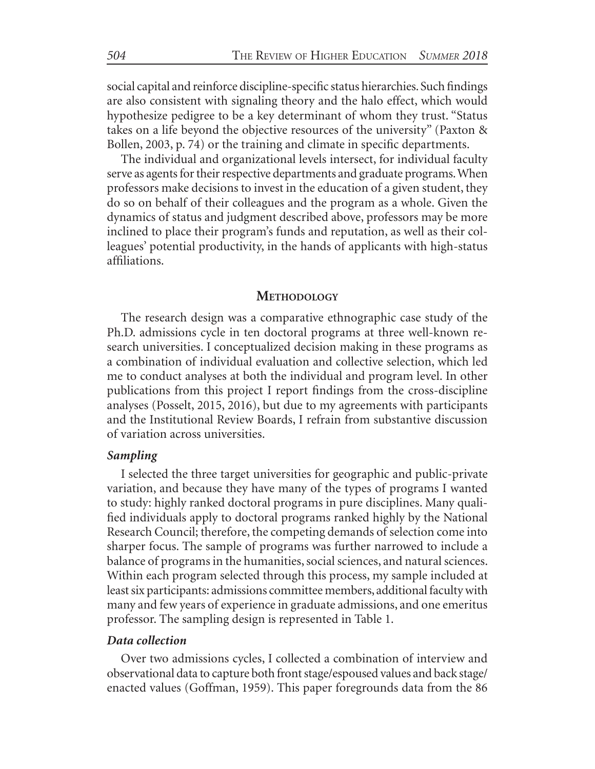social capital and reinforce discipline-specific status hierarchies. Such findings are also consistent with signaling theory and the halo effect, which would hypothesize pedigree to be a key determinant of whom they trust. "Status takes on a life beyond the objective resources of the university" (Paxton & Bollen, 2003, p. 74) or the training and climate in specific departments.

The individual and organizational levels intersect, for individual faculty serve as agents for their respective departments and graduate programs. When professors make decisions to invest in the education of a given student, they do so on behalf of their colleagues and the program as a whole. Given the dynamics of status and judgment described above, professors may be more inclined to place their program's funds and reputation, as well as their colleagues' potential productivity, in the hands of applicants with high-status affiliations.

#### **METHODOLOGY**

The research design was a comparative ethnographic case study of the Ph.D. admissions cycle in ten doctoral programs at three well-known research universities. I conceptualized decision making in these programs as a combination of individual evaluation and collective selection, which led me to conduct analyses at both the individual and program level. In other publications from this project I report findings from the cross-discipline analyses (Posselt, 2015, 2016), but due to my agreements with participants and the Institutional Review Boards, I refrain from substantive discussion of variation across universities.

#### *Sampling*

I selected the three target universities for geographic and public-private variation, and because they have many of the types of programs I wanted to study: highly ranked doctoral programs in pure disciplines. Many qualified individuals apply to doctoral programs ranked highly by the National Research Council; therefore, the competing demands of selection come into sharper focus. The sample of programs was further narrowed to include a balance of programs in the humanities, social sciences, and natural sciences. Within each program selected through this process, my sample included at least six participants: admissions committee members, additional faculty with many and few years of experience in graduate admissions, and one emeritus professor. The sampling design is represented in Table 1.

## *Data collection*

Over two admissions cycles, I collected a combination of interview and observational data to capture both front stage/espoused values and back stage/ enacted values (Goffman, 1959). This paper foregrounds data from the 86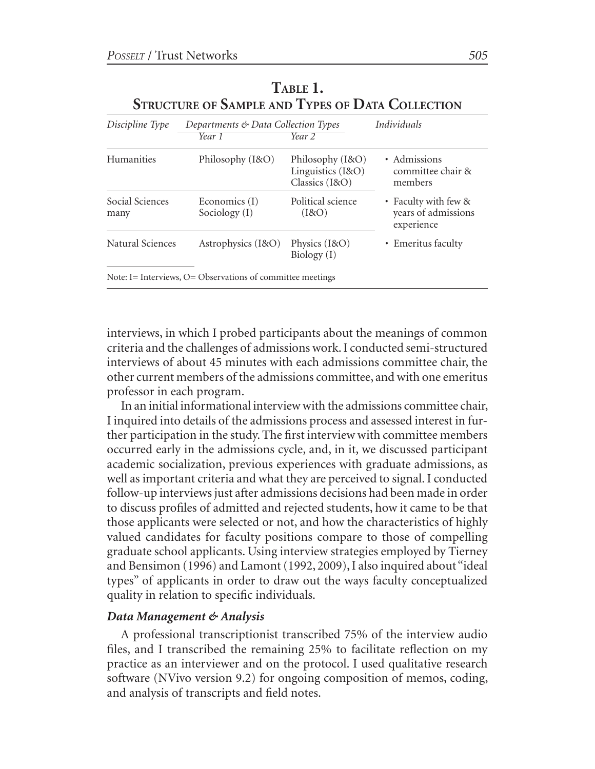| Year 1                           | Year 2                                                  |                                                           |
|----------------------------------|---------------------------------------------------------|-----------------------------------------------------------|
| Philosophy (I&O)                 | Philosophy (I&O)<br>Linguistics (I&O)<br>Classics (I&O) | • Admissions<br>committee chair &<br>members              |
| Economics (I)<br>Sociology $(I)$ | Political science<br>(I&O)                              | • Faculty with few &<br>years of admissions<br>experience |
| Astrophysics (I&O)               | Physics (I&O)<br>Biology (I)                            | • Emeritus faculty                                        |
|                                  |                                                         |                                                           |

| TABLE 1. |                                                         |  |
|----------|---------------------------------------------------------|--|
|          | <b>STRUCTURE OF SAMPLE AND TYPES OF DATA COLLECTION</b> |  |

interviews, in which I probed participants about the meanings of common criteria and the challenges of admissions work. I conducted semi-structured interviews of about 45 minutes with each admissions committee chair, the other current members of the admissions committee, and with one emeritus professor in each program.

In an initial informational interview with the admissions committee chair, I inquired into details of the admissions process and assessed interest in further participation in the study. The first interview with committee members occurred early in the admissions cycle, and, in it, we discussed participant academic socialization, previous experiences with graduate admissions, as well as important criteria and what they are perceived to signal. I conducted follow-up interviews just after admissions decisions had been made in order to discuss profiles of admitted and rejected students, how it came to be that those applicants were selected or not, and how the characteristics of highly valued candidates for faculty positions compare to those of compelling graduate school applicants. Using interview strategies employed by Tierney and Bensimon (1996) and Lamont (1992, 2009), I also inquired about "ideal types" of applicants in order to draw out the ways faculty conceptualized quality in relation to specific individuals.

# *Data Management & Analysis*

A professional transcriptionist transcribed 75% of the interview audio files, and I transcribed the remaining 25% to facilitate reflection on my practice as an interviewer and on the protocol. I used qualitative research software (NVivo version 9.2) for ongoing composition of memos, coding, and analysis of transcripts and field notes.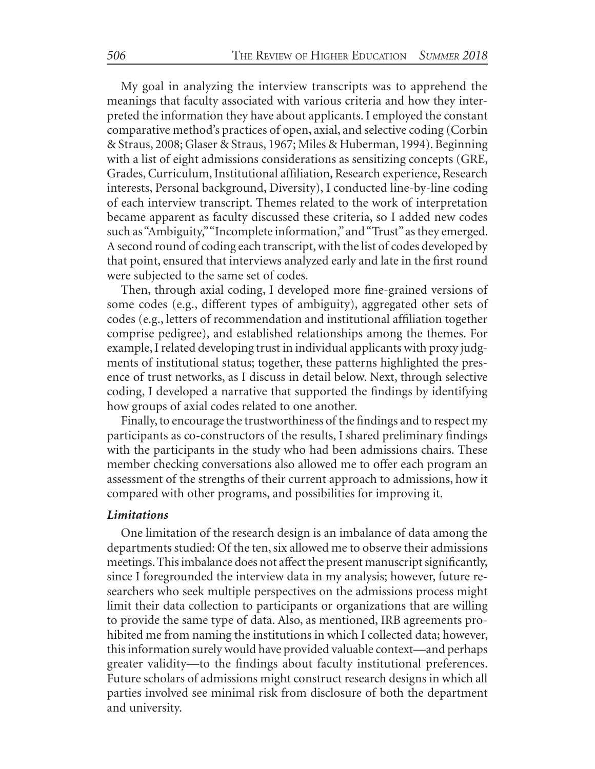My goal in analyzing the interview transcripts was to apprehend the meanings that faculty associated with various criteria and how they interpreted the information they have about applicants. I employed the constant comparative method's practices of open, axial, and selective coding (Corbin & Straus, 2008; Glaser & Straus, 1967; Miles & Huberman, 1994). Beginning with a list of eight admissions considerations as sensitizing concepts (GRE, Grades, Curriculum, Institutional affiliation, Research experience, Research interests, Personal background, Diversity), I conducted line-by-line coding of each interview transcript. Themes related to the work of interpretation became apparent as faculty discussed these criteria, so I added new codes such as "Ambiguity," "Incomplete information," and "Trust" as they emerged. A second round of coding each transcript, with the list of codes developed by that point, ensured that interviews analyzed early and late in the first round were subjected to the same set of codes.

Then, through axial coding, I developed more fine-grained versions of some codes (e.g., different types of ambiguity), aggregated other sets of codes (e.g., letters of recommendation and institutional affiliation together comprise pedigree), and established relationships among the themes. For example, I related developing trust in individual applicants with proxy judgments of institutional status; together, these patterns highlighted the presence of trust networks, as I discuss in detail below. Next, through selective coding, I developed a narrative that supported the findings by identifying how groups of axial codes related to one another.

Finally, to encourage the trustworthiness of the findings and to respect my participants as co-constructors of the results, I shared preliminary findings with the participants in the study who had been admissions chairs. These member checking conversations also allowed me to offer each program an assessment of the strengths of their current approach to admissions, how it compared with other programs, and possibilities for improving it.

#### *Limitations*

One limitation of the research design is an imbalance of data among the departments studied: Of the ten, six allowed me to observe their admissions meetings. This imbalance does not affect the present manuscript significantly, since I foregrounded the interview data in my analysis; however, future researchers who seek multiple perspectives on the admissions process might limit their data collection to participants or organizations that are willing to provide the same type of data. Also, as mentioned, IRB agreements prohibited me from naming the institutions in which I collected data; however, this information surely would have provided valuable context—and perhaps greater validity—to the findings about faculty institutional preferences. Future scholars of admissions might construct research designs in which all parties involved see minimal risk from disclosure of both the department and university.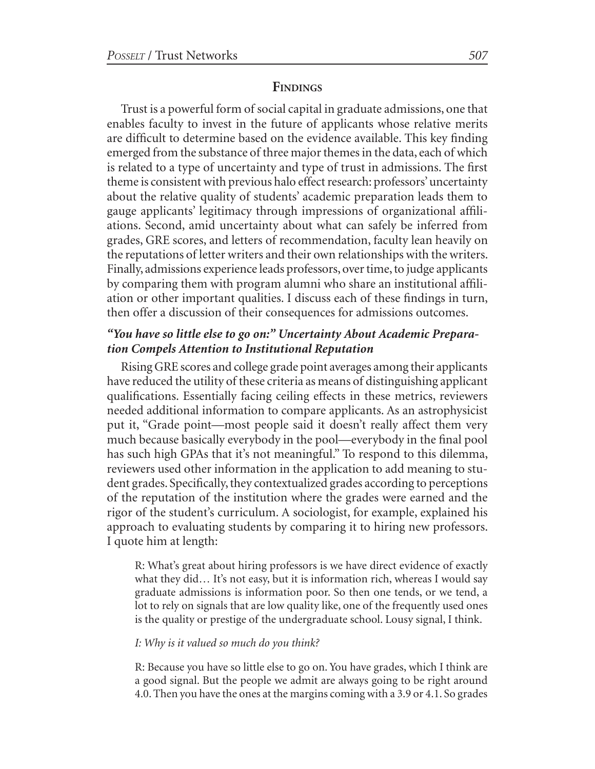# **FINDINGS**

Trust is a powerful form of social capital in graduate admissions, one that enables faculty to invest in the future of applicants whose relative merits are difficult to determine based on the evidence available. This key finding emerged from the substance of three major themes in the data, each of which is related to a type of uncertainty and type of trust in admissions. The first theme is consistent with previous halo effect research: professors' uncertainty about the relative quality of students' academic preparation leads them to gauge applicants' legitimacy through impressions of organizational affiliations. Second, amid uncertainty about what can safely be inferred from grades, GRE scores, and letters of recommendation, faculty lean heavily on the reputations of letter writers and their own relationships with the writers. Finally, admissions experience leads professors, over time, to judge applicants by comparing them with program alumni who share an institutional affiliation or other important qualities. I discuss each of these findings in turn, then offer a discussion of their consequences for admissions outcomes.

# *"You have so little else to go on:" Uncertainty About Academic Preparation Compels Attention to Institutional Reputation*

Rising GRE scores and college grade point averages among their applicants have reduced the utility of these criteria as means of distinguishing applicant qualifications. Essentially facing ceiling effects in these metrics, reviewers needed additional information to compare applicants. As an astrophysicist put it, "Grade point—most people said it doesn't really affect them very much because basically everybody in the pool—everybody in the final pool has such high GPAs that it's not meaningful." To respond to this dilemma, reviewers used other information in the application to add meaning to student grades. Specifically, they contextualized grades according to perceptions of the reputation of the institution where the grades were earned and the rigor of the student's curriculum. A sociologist, for example, explained his approach to evaluating students by comparing it to hiring new professors. I quote him at length:

R: What's great about hiring professors is we have direct evidence of exactly what they did… It's not easy, but it is information rich, whereas I would say graduate admissions is information poor. So then one tends, or we tend, a lot to rely on signals that are low quality like, one of the frequently used ones is the quality or prestige of the undergraduate school. Lousy signal, I think.

#### *I: Why is it valued so much do you think?*

R: Because you have so little else to go on. You have grades, which I think are a good signal. But the people we admit are always going to be right around 4.0. Then you have the ones at the margins coming with a 3.9 or 4.1. So grades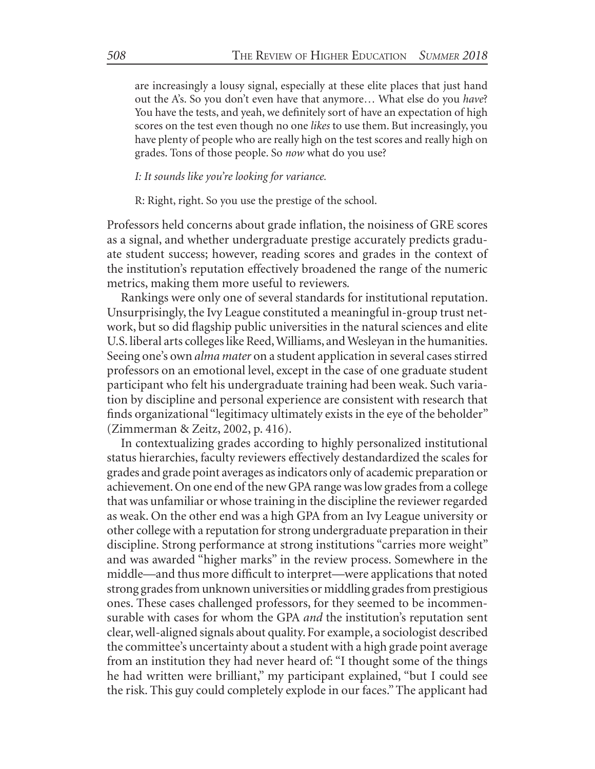are increasingly a lousy signal, especially at these elite places that just hand out the A's. So you don't even have that anymore… What else do you *have*? You have the tests, and yeah, we definitely sort of have an expectation of high scores on the test even though no one *likes* to use them. But increasingly, you have plenty of people who are really high on the test scores and really high on grades. Tons of those people. So *now* what do you use?

#### *I: It sounds like you're looking for variance.*

R: Right, right. So you use the prestige of the school.

Professors held concerns about grade inflation, the noisiness of GRE scores as a signal, and whether undergraduate prestige accurately predicts graduate student success; however, reading scores and grades in the context of the institution's reputation effectively broadened the range of the numeric metrics, making them more useful to reviewers*.*

Rankings were only one of several standards for institutional reputation. Unsurprisingly, the Ivy League constituted a meaningful in-group trust network, but so did flagship public universities in the natural sciences and elite U.S. liberal arts colleges like Reed, Williams, and Wesleyan in the humanities. Seeing one's own *alma mater* on a student application in several cases stirred professors on an emotional level, except in the case of one graduate student participant who felt his undergraduate training had been weak. Such variation by discipline and personal experience are consistent with research that finds organizational "legitimacy ultimately exists in the eye of the beholder" (Zimmerman & Zeitz, 2002, p. 416).

In contextualizing grades according to highly personalized institutional status hierarchies, faculty reviewers effectively destandardized the scales for grades and grade point averages as indicators only of academic preparation or achievement. On one end of the new GPA range was low grades from a college that was unfamiliar or whose training in the discipline the reviewer regarded as weak. On the other end was a high GPA from an Ivy League university or other college with a reputation for strong undergraduate preparation in their discipline. Strong performance at strong institutions "carries more weight" and was awarded "higher marks" in the review process. Somewhere in the middle—and thus more difficult to interpret—were applications that noted strong grades from unknown universities or middling grades from prestigious ones. These cases challenged professors, for they seemed to be incommensurable with cases for whom the GPA *and* the institution's reputation sent clear, well-aligned signals about quality. For example, a sociologist described the committee's uncertainty about a student with a high grade point average from an institution they had never heard of: "I thought some of the things he had written were brilliant," my participant explained, "but I could see the risk. This guy could completely explode in our faces." The applicant had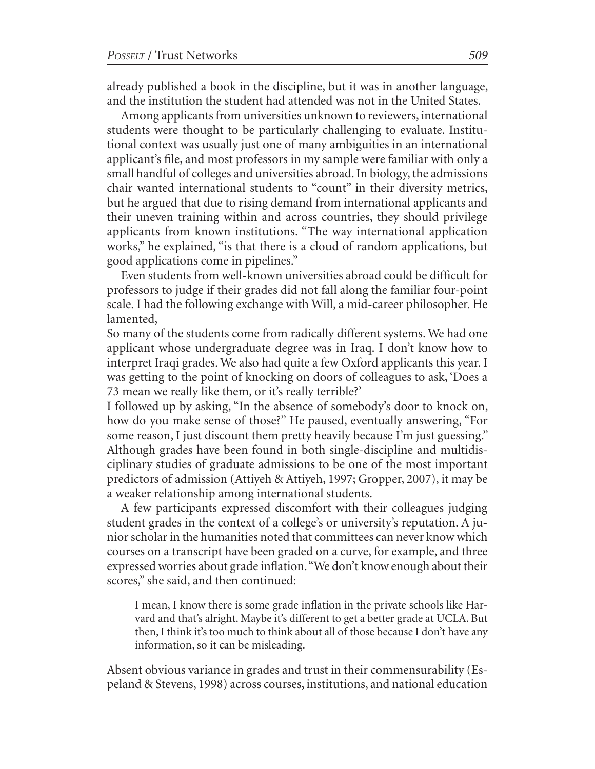already published a book in the discipline, but it was in another language, and the institution the student had attended was not in the United States.

Among applicants from universities unknown to reviewers, international students were thought to be particularly challenging to evaluate. Institutional context was usually just one of many ambiguities in an international applicant's file, and most professors in my sample were familiar with only a small handful of colleges and universities abroad. In biology, the admissions chair wanted international students to "count" in their diversity metrics, but he argued that due to rising demand from international applicants and their uneven training within and across countries, they should privilege applicants from known institutions. "The way international application works," he explained, "is that there is a cloud of random applications, but good applications come in pipelines."

Even students from well-known universities abroad could be difficult for professors to judge if their grades did not fall along the familiar four-point scale. I had the following exchange with Will, a mid-career philosopher. He lamented,

So many of the students come from radically different systems. We had one applicant whose undergraduate degree was in Iraq. I don't know how to interpret Iraqi grades. We also had quite a few Oxford applicants this year. I was getting to the point of knocking on doors of colleagues to ask, 'Does a 73 mean we really like them, or it's really terrible?'

I followed up by asking, "In the absence of somebody's door to knock on, how do you make sense of those?" He paused, eventually answering, "For some reason, I just discount them pretty heavily because I'm just guessing." Although grades have been found in both single-discipline and multidisciplinary studies of graduate admissions to be one of the most important predictors of admission (Attiyeh & Attiyeh, 1997; Gropper, 2007), it may be a weaker relationship among international students.

A few participants expressed discomfort with their colleagues judging student grades in the context of a college's or university's reputation. A junior scholar in the humanities noted that committees can never know which courses on a transcript have been graded on a curve, for example, and three expressed worries about grade inflation. "We don't know enough about their scores," she said, and then continued:

I mean, I know there is some grade inflation in the private schools like Harvard and that's alright. Maybe it's different to get a better grade at UCLA. But then, I think it's too much to think about all of those because I don't have any information, so it can be misleading.

Absent obvious variance in grades and trust in their commensurability (Espeland & Stevens, 1998) across courses, institutions, and national education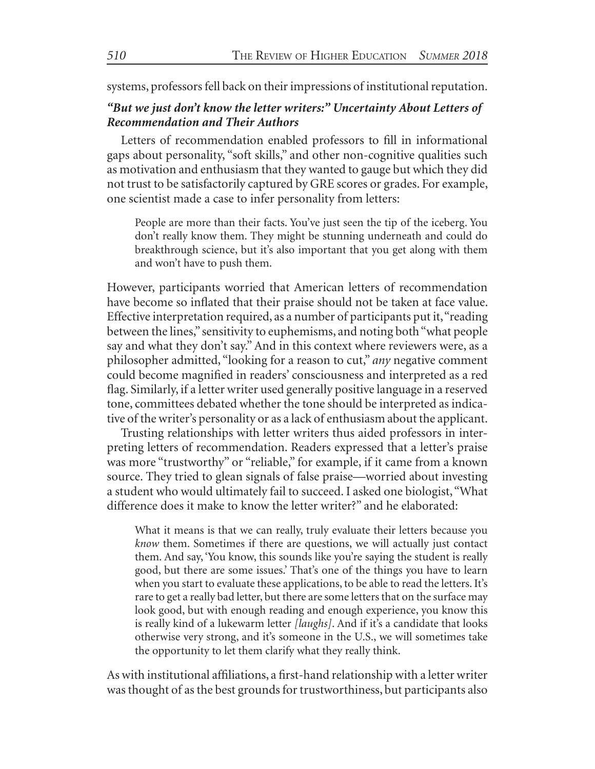systems, professors fell back on their impressions of institutional reputation.

# *"But we just don't know the letter writers:" Uncertainty About Letters of Recommendation and Their Authors*

Letters of recommendation enabled professors to fill in informational gaps about personality, "soft skills," and other non-cognitive qualities such as motivation and enthusiasm that they wanted to gauge but which they did not trust to be satisfactorily captured by GRE scores or grades. For example, one scientist made a case to infer personality from letters:

People are more than their facts. You've just seen the tip of the iceberg. You don't really know them. They might be stunning underneath and could do breakthrough science, but it's also important that you get along with them and won't have to push them.

However, participants worried that American letters of recommendation have become so inflated that their praise should not be taken at face value. Effective interpretation required, as a number of participants put it, "reading between the lines," sensitivity to euphemisms, and noting both "what people say and what they don't say." And in this context where reviewers were, as a philosopher admitted, "looking for a reason to cut," *any* negative comment could become magnified in readers' consciousness and interpreted as a red flag. Similarly, if a letter writer used generally positive language in a reserved tone, committees debated whether the tone should be interpreted as indicative of the writer's personality or as a lack of enthusiasm about the applicant.

Trusting relationships with letter writers thus aided professors in interpreting letters of recommendation. Readers expressed that a letter's praise was more "trustworthy" or "reliable," for example, if it came from a known source. They tried to glean signals of false praise—worried about investing a student who would ultimately fail to succeed. I asked one biologist, "What difference does it make to know the letter writer?" and he elaborated:

What it means is that we can really, truly evaluate their letters because you *know* them. Sometimes if there are questions, we will actually just contact them. And say, 'You know, this sounds like you're saying the student is really good, but there are some issues.' That's one of the things you have to learn when you start to evaluate these applications, to be able to read the letters. It's rare to get a really bad letter, but there are some letters that on the surface may look good, but with enough reading and enough experience, you know this is really kind of a lukewarm letter *[laughs]*. And if it's a candidate that looks otherwise very strong, and it's someone in the U.S., we will sometimes take the opportunity to let them clarify what they really think.

As with institutional affiliations, a first-hand relationship with a letter writer was thought of as the best grounds for trustworthiness, but participants also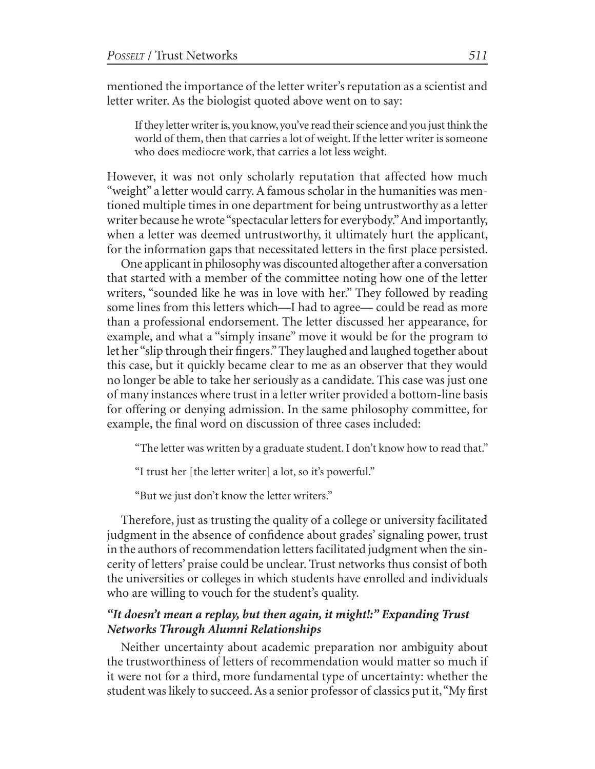mentioned the importance of the letter writer's reputation as a scientist and letter writer. As the biologist quoted above went on to say:

If they letter writer is, you know, you've read their science and you just think the world of them, then that carries a lot of weight. If the letter writer is someone who does mediocre work, that carries a lot less weight.

However, it was not only scholarly reputation that affected how much "weight" a letter would carry. A famous scholar in the humanities was mentioned multiple times in one department for being untrustworthy as a letter writer because he wrote "spectacular letters for everybody." And importantly, when a letter was deemed untrustworthy, it ultimately hurt the applicant, for the information gaps that necessitated letters in the first place persisted.

One applicant in philosophy was discounted altogether after a conversation that started with a member of the committee noting how one of the letter writers, "sounded like he was in love with her." They followed by reading some lines from this letters which—I had to agree— could be read as more than a professional endorsement. The letter discussed her appearance, for example, and what a "simply insane" move it would be for the program to let her "slip through their fingers." They laughed and laughed together about this case, but it quickly became clear to me as an observer that they would no longer be able to take her seriously as a candidate. This case was just one of many instances where trust in a letter writer provided a bottom-line basis for offering or denying admission. In the same philosophy committee, for example, the final word on discussion of three cases included:

"The letter was written by a graduate student. I don't know how to read that."

"I trust her [the letter writer] a lot, so it's powerful."

"But we just don't know the letter writers."

Therefore, just as trusting the quality of a college or university facilitated judgment in the absence of confidence about grades' signaling power, trust in the authors of recommendation letters facilitated judgment when the sincerity of letters' praise could be unclear. Trust networks thus consist of both the universities or colleges in which students have enrolled and individuals who are willing to vouch for the student's quality.

# *"It doesn't mean a replay, but then again, it might!:" Expanding Trust Networks Through Alumni Relationships*

Neither uncertainty about academic preparation nor ambiguity about the trustworthiness of letters of recommendation would matter so much if it were not for a third, more fundamental type of uncertainty: whether the student was likely to succeed. As a senior professor of classics put it, "My first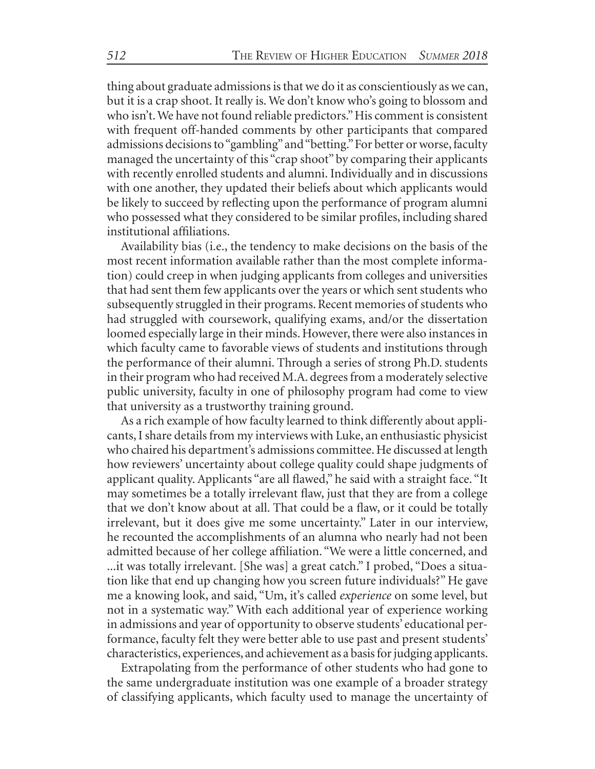thing about graduate admissions is that we do it as conscientiously as we can, but it is a crap shoot. It really is. We don't know who's going to blossom and who isn't. We have not found reliable predictors." His comment is consistent with frequent off-handed comments by other participants that compared admissions decisions to "gambling" and "betting." For better or worse, faculty managed the uncertainty of this "crap shoot" by comparing their applicants with recently enrolled students and alumni. Individually and in discussions with one another, they updated their beliefs about which applicants would be likely to succeed by reflecting upon the performance of program alumni who possessed what they considered to be similar profiles, including shared institutional affiliations.

Availability bias (i.e., the tendency to make decisions on the basis of the most recent information available rather than the most complete information) could creep in when judging applicants from colleges and universities that had sent them few applicants over the years or which sent students who subsequently struggled in their programs. Recent memories of students who had struggled with coursework, qualifying exams, and/or the dissertation loomed especially large in their minds. However, there were also instances in which faculty came to favorable views of students and institutions through the performance of their alumni. Through a series of strong Ph.D. students in their program who had received M.A. degrees from a moderately selective public university, faculty in one of philosophy program had come to view that university as a trustworthy training ground.

As a rich example of how faculty learned to think differently about applicants, I share details from my interviews with Luke, an enthusiastic physicist who chaired his department's admissions committee. He discussed at length how reviewers' uncertainty about college quality could shape judgments of applicant quality. Applicants "are all flawed," he said with a straight face. "It may sometimes be a totally irrelevant flaw, just that they are from a college that we don't know about at all. That could be a flaw, or it could be totally irrelevant, but it does give me some uncertainty." Later in our interview, he recounted the accomplishments of an alumna who nearly had not been admitted because of her college affiliation. "We were a little concerned, and ...it was totally irrelevant. [She was] a great catch." I probed, "Does a situation like that end up changing how you screen future individuals?" He gave me a knowing look, and said, "Um, it's called *experience* on some level, but not in a systematic way." With each additional year of experience working in admissions and year of opportunity to observe students' educational performance, faculty felt they were better able to use past and present students' characteristics, experiences, and achievement as a basis for judging applicants.

Extrapolating from the performance of other students who had gone to the same undergraduate institution was one example of a broader strategy of classifying applicants, which faculty used to manage the uncertainty of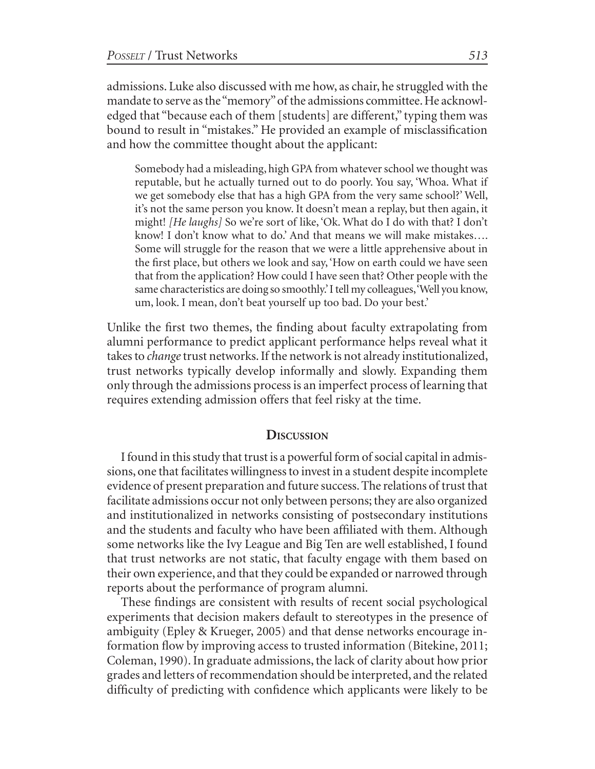admissions. Luke also discussed with me how, as chair, he struggled with the mandate to serve as the "memory" of the admissions committee. He acknowledged that "because each of them [students] are different," typing them was bound to result in "mistakes." He provided an example of misclassification and how the committee thought about the applicant:

Somebody had a misleading, high GPA from whatever school we thought was reputable, but he actually turned out to do poorly. You say, 'Whoa. What if we get somebody else that has a high GPA from the very same school?' Well, it's not the same person you know. It doesn't mean a replay, but then again, it might! *[He laughs]* So we're sort of like, 'Ok. What do I do with that? I don't know! I don't know what to do.' And that means we will make mistakes…. Some will struggle for the reason that we were a little apprehensive about in the first place, but others we look and say, 'How on earth could we have seen that from the application? How could I have seen that? Other people with the same characteristics are doing so smoothly.' I tell my colleagues, 'Well you know, um, look. I mean, don't beat yourself up too bad. Do your best.'

Unlike the first two themes, the finding about faculty extrapolating from alumni performance to predict applicant performance helps reveal what it takes to *change* trust networks. If the network is not already institutionalized, trust networks typically develop informally and slowly. Expanding them only through the admissions process is an imperfect process of learning that requires extending admission offers that feel risky at the time.

# **DISCUSSION**

I found in this study that trust is a powerful form of social capital in admissions, one that facilitates willingness to invest in a student despite incomplete evidence of present preparation and future success. The relations of trust that facilitate admissions occur not only between persons; they are also organized and institutionalized in networks consisting of postsecondary institutions and the students and faculty who have been affiliated with them. Although some networks like the Ivy League and Big Ten are well established, I found that trust networks are not static, that faculty engage with them based on their own experience, and that they could be expanded or narrowed through reports about the performance of program alumni.

These findings are consistent with results of recent social psychological experiments that decision makers default to stereotypes in the presence of ambiguity (Epley & Krueger, 2005) and that dense networks encourage information flow by improving access to trusted information (Bitekine, 2011; Coleman, 1990). In graduate admissions, the lack of clarity about how prior grades and letters of recommendation should be interpreted, and the related difficulty of predicting with confidence which applicants were likely to be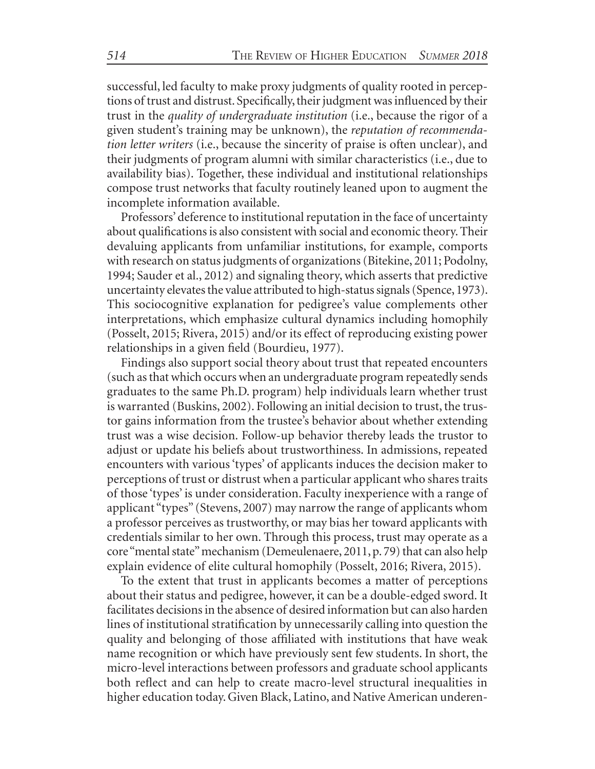successful, led faculty to make proxy judgments of quality rooted in perceptions of trust and distrust. Specifically, their judgment was influenced by their trust in the *quality of undergraduate institution* (i.e., because the rigor of a given student's training may be unknown), the *reputation of recommendation letter writers* (i.e., because the sincerity of praise is often unclear), and their judgments of program alumni with similar characteristics (i.e., due to availability bias). Together, these individual and institutional relationships compose trust networks that faculty routinely leaned upon to augment the incomplete information available.

Professors' deference to institutional reputation in the face of uncertainty about qualifications is also consistent with social and economic theory. Their devaluing applicants from unfamiliar institutions, for example, comports with research on status judgments of organizations (Bitekine, 2011; Podolny, 1994; Sauder et al., 2012) and signaling theory, which asserts that predictive uncertainty elevates the value attributed to high-status signals (Spence, 1973). This sociocognitive explanation for pedigree's value complements other interpretations, which emphasize cultural dynamics including homophily (Posselt, 2015; Rivera, 2015) and/or its effect of reproducing existing power relationships in a given field (Bourdieu, 1977).

Findings also support social theory about trust that repeated encounters (such as that which occurs when an undergraduate program repeatedly sends graduates to the same Ph.D. program) help individuals learn whether trust is warranted (Buskins, 2002). Following an initial decision to trust, the trustor gains information from the trustee's behavior about whether extending trust was a wise decision. Follow-up behavior thereby leads the trustor to adjust or update his beliefs about trustworthiness. In admissions, repeated encounters with various 'types' of applicants induces the decision maker to perceptions of trust or distrust when a particular applicant who shares traits of those 'types' is under consideration. Faculty inexperience with a range of applicant "types" (Stevens, 2007) may narrow the range of applicants whom a professor perceives as trustworthy, or may bias her toward applicants with credentials similar to her own. Through this process, trust may operate as a core "mental state" mechanism (Demeulenaere, 2011, p. 79) that can also help explain evidence of elite cultural homophily (Posselt, 2016; Rivera, 2015).

To the extent that trust in applicants becomes a matter of perceptions about their status and pedigree, however, it can be a double-edged sword. It facilitates decisions in the absence of desired information but can also harden lines of institutional stratification by unnecessarily calling into question the quality and belonging of those affiliated with institutions that have weak name recognition or which have previously sent few students. In short, the micro-level interactions between professors and graduate school applicants both reflect and can help to create macro-level structural inequalities in higher education today. Given Black, Latino, and Native American underen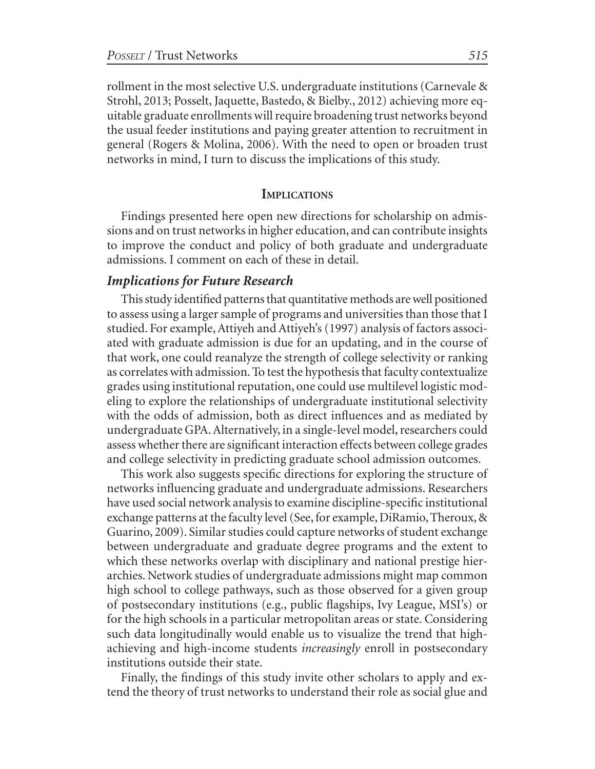rollment in the most selective U.S. undergraduate institutions (Carnevale & Strohl, 2013; Posselt, Jaquette, Bastedo, & Bielby., 2012) achieving more equitable graduate enrollments will require broadening trust networks beyond the usual feeder institutions and paying greater attention to recruitment in general (Rogers & Molina, 2006). With the need to open or broaden trust networks in mind, I turn to discuss the implications of this study.

#### **IMPLICATIONS**

Findings presented here open new directions for scholarship on admissions and on trust networks in higher education, and can contribute insights to improve the conduct and policy of both graduate and undergraduate admissions. I comment on each of these in detail.

# *Implications for Future Research*

This study identified patterns that quantitative methods are well positioned to assess using a larger sample of programs and universities than those that I studied. For example, Attiyeh and Attiyeh's (1997) analysis of factors associated with graduate admission is due for an updating, and in the course of that work, one could reanalyze the strength of college selectivity or ranking as correlates with admission. To test the hypothesis that faculty contextualize grades using institutional reputation, one could use multilevel logistic modeling to explore the relationships of undergraduate institutional selectivity with the odds of admission, both as direct influences and as mediated by undergraduate GPA. Alternatively, in a single-level model, researchers could assess whether there are significant interaction effects between college grades and college selectivity in predicting graduate school admission outcomes.

This work also suggests specific directions for exploring the structure of networks influencing graduate and undergraduate admissions. Researchers have used social network analysis to examine discipline-specific institutional exchange patterns at the faculty level (See, for example, DiRamio, Theroux, & Guarino, 2009). Similar studies could capture networks of student exchange between undergraduate and graduate degree programs and the extent to which these networks overlap with disciplinary and national prestige hierarchies. Network studies of undergraduate admissions might map common high school to college pathways, such as those observed for a given group of postsecondary institutions (e.g., public flagships, Ivy League, MSI's) or for the high schools in a particular metropolitan areas or state. Considering such data longitudinally would enable us to visualize the trend that highachieving and high-income students *increasingly* enroll in postsecondary institutions outside their state.

Finally, the findings of this study invite other scholars to apply and extend the theory of trust networks to understand their role as social glue and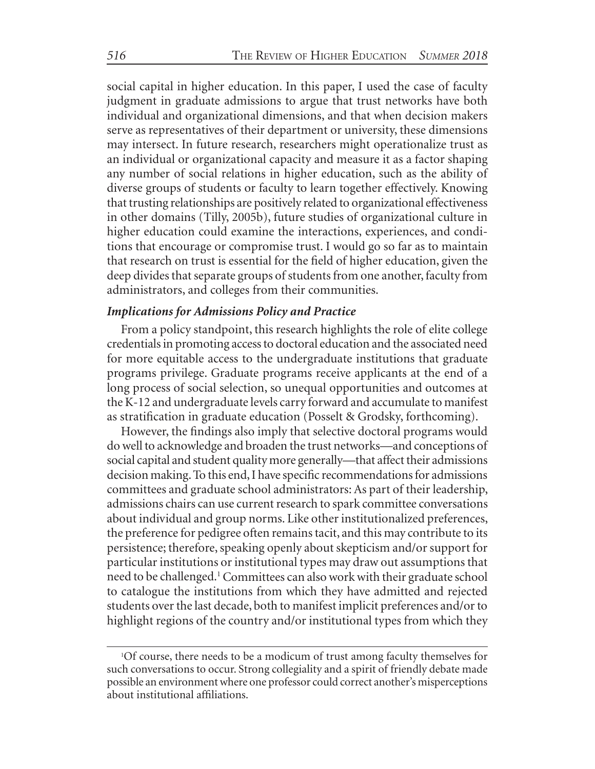social capital in higher education. In this paper, I used the case of faculty judgment in graduate admissions to argue that trust networks have both individual and organizational dimensions, and that when decision makers serve as representatives of their department or university, these dimensions may intersect. In future research, researchers might operationalize trust as an individual or organizational capacity and measure it as a factor shaping any number of social relations in higher education, such as the ability of diverse groups of students or faculty to learn together effectively. Knowing that trusting relationships are positively related to organizational effectiveness in other domains (Tilly, 2005b), future studies of organizational culture in higher education could examine the interactions, experiences, and conditions that encourage or compromise trust. I would go so far as to maintain that research on trust is essential for the field of higher education, given the deep divides that separate groups of students from one another, faculty from administrators, and colleges from their communities.

## *Implications for Admissions Policy and Practice*

From a policy standpoint, this research highlights the role of elite college credentials in promoting access to doctoral education and the associated need for more equitable access to the undergraduate institutions that graduate programs privilege. Graduate programs receive applicants at the end of a long process of social selection, so unequal opportunities and outcomes at the K-12 and undergraduate levels carry forward and accumulate to manifest as stratification in graduate education (Posselt & Grodsky, forthcoming).

However, the findings also imply that selective doctoral programs would do well to acknowledge and broaden the trust networks—and conceptions of social capital and student quality more generally—that affect their admissions decision making. To this end, I have specific recommendations for admissions committees and graduate school administrators: As part of their leadership, admissions chairs can use current research to spark committee conversations about individual and group norms. Like other institutionalized preferences, the preference for pedigree often remains tacit, and this may contribute to its persistence; therefore, speaking openly about skepticism and/or support for particular institutions or institutional types may draw out assumptions that need to be challenged.1 Committees can also work with their graduate school to catalogue the institutions from which they have admitted and rejected students over the last decade, both to manifest implicit preferences and/or to highlight regions of the country and/or institutional types from which they

<sup>1</sup> Of course, there needs to be a modicum of trust among faculty themselves for such conversations to occur. Strong collegiality and a spirit of friendly debate made possible an environment where one professor could correct another's misperceptions about institutional affiliations.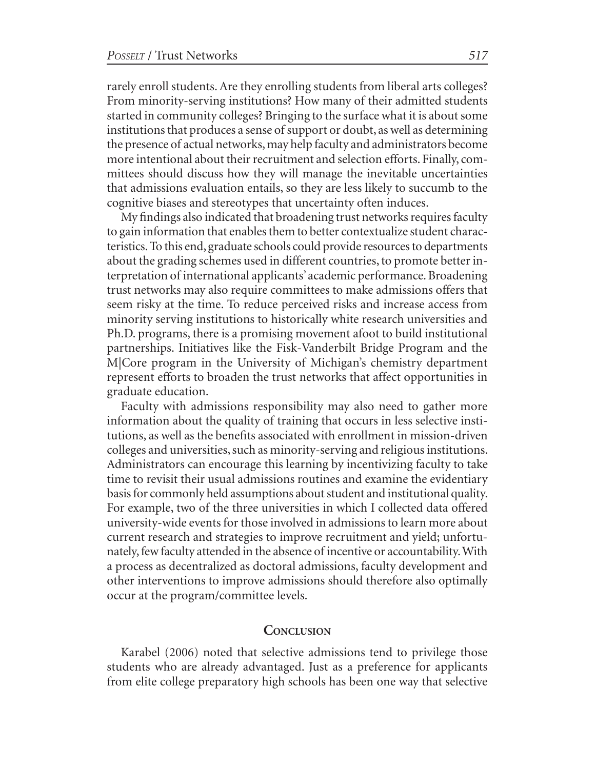rarely enroll students. Are they enrolling students from liberal arts colleges? From minority-serving institutions? How many of their admitted students started in community colleges? Bringing to the surface what it is about some institutions that produces a sense of support or doubt, as well as determining the presence of actual networks, may help faculty and administrators become more intentional about their recruitment and selection efforts. Finally, committees should discuss how they will manage the inevitable uncertainties that admissions evaluation entails, so they are less likely to succumb to the cognitive biases and stereotypes that uncertainty often induces.

My findings also indicated that broadening trust networks requires faculty to gain information that enables them to better contextualize student characteristics. To this end, graduate schools could provide resources to departments about the grading schemes used in different countries, to promote better interpretation of international applicants' academic performance. Broadening trust networks may also require committees to make admissions offers that seem risky at the time. To reduce perceived risks and increase access from minority serving institutions to historically white research universities and Ph.D. programs, there is a promising movement afoot to build institutional partnerships. Initiatives like the Fisk-Vanderbilt Bridge Program and the M|Core program in the University of Michigan's chemistry department represent efforts to broaden the trust networks that affect opportunities in graduate education.

Faculty with admissions responsibility may also need to gather more information about the quality of training that occurs in less selective institutions, as well as the benefits associated with enrollment in mission-driven colleges and universities, such as minority-serving and religious institutions. Administrators can encourage this learning by incentivizing faculty to take time to revisit their usual admissions routines and examine the evidentiary basis for commonly held assumptions about student and institutional quality. For example, two of the three universities in which I collected data offered university-wide events for those involved in admissions to learn more about current research and strategies to improve recruitment and yield; unfortunately, few faculty attended in the absence of incentive or accountability. With a process as decentralized as doctoral admissions, faculty development and other interventions to improve admissions should therefore also optimally occur at the program/committee levels.

## **CONCLUSION**

Karabel (2006) noted that selective admissions tend to privilege those students who are already advantaged. Just as a preference for applicants from elite college preparatory high schools has been one way that selective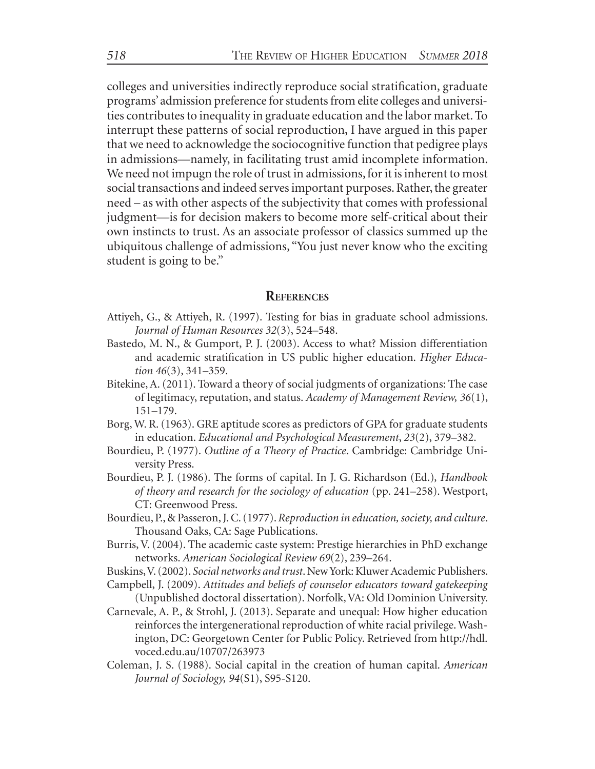colleges and universities indirectly reproduce social stratification, graduate programs' admission preference for students from elite colleges and universities contributes to inequality in graduate education and the labor market. To interrupt these patterns of social reproduction, I have argued in this paper that we need to acknowledge the sociocognitive function that pedigree plays in admissions—namely, in facilitating trust amid incomplete information. We need not impugn the role of trust in admissions, for it is inherent to most social transactions and indeed serves important purposes. Rather, the greater need – as with other aspects of the subjectivity that comes with professional judgment—is for decision makers to become more self-critical about their own instincts to trust. As an associate professor of classics summed up the ubiquitous challenge of admissions, "You just never know who the exciting student is going to be."

#### **REFERENCES**

- Attiyeh, G., & Attiyeh, R. (1997). Testing for bias in graduate school admissions. *Journal of Human Resources 32*(3), 524–548.
- Bastedo, M. N., & Gumport, P. J. (2003). Access to what? Mission differentiation and academic stratification in US public higher education. *Higher Education 46*(3), 341–359.
- Bitekine, A. (2011). Toward a theory of social judgments of organizations: The case of legitimacy, reputation, and status. *Academy of Management Review, 36*(1), 151–179.
- Borg, W. R. (1963). GRE aptitude scores as predictors of GPA for graduate students in education. *Educational and Psychological Measurement*, *23*(2), 379–382.
- Bourdieu, P. (1977). *Outline of a Theory of Practice*. Cambridge: Cambridge University Press.
- Bourdieu, P. J. (1986). The forms of capital. In J. G. Richardson (Ed.)*, Handbook of theory and research for the sociology of education* (pp. 241–258). Westport, CT: Greenwood Press.
- Bourdieu, P., & Passeron, J. C. (1977). *Reproduction in education, society, and culture*. Thousand Oaks, CA: Sage Publications.
- Burris, V. (2004). The academic caste system: Prestige hierarchies in PhD exchange networks. *American Sociological Review 69*(2), 239–264.
- Buskins, V. (2002). *Social networks and trust*. New York: Kluwer Academic Publishers.
- Campbell, J. (2009). *Attitudes and beliefs of counselor educators toward gatekeeping* (Unpublished doctoral dissertation). Norfolk, VA: Old Dominion University.
- Carnevale, A. P., & Strohl, J. (2013). Separate and unequal: How higher education reinforces the intergenerational reproduction of white racial privilege. Washington, DC: Georgetown Center for Public Policy. Retrieved from http://hdl. voced.edu.au/10707/263973
- Coleman, J. S. (1988). Social capital in the creation of human capital. *American Journal of Sociology, 94*(S1), S95-S120.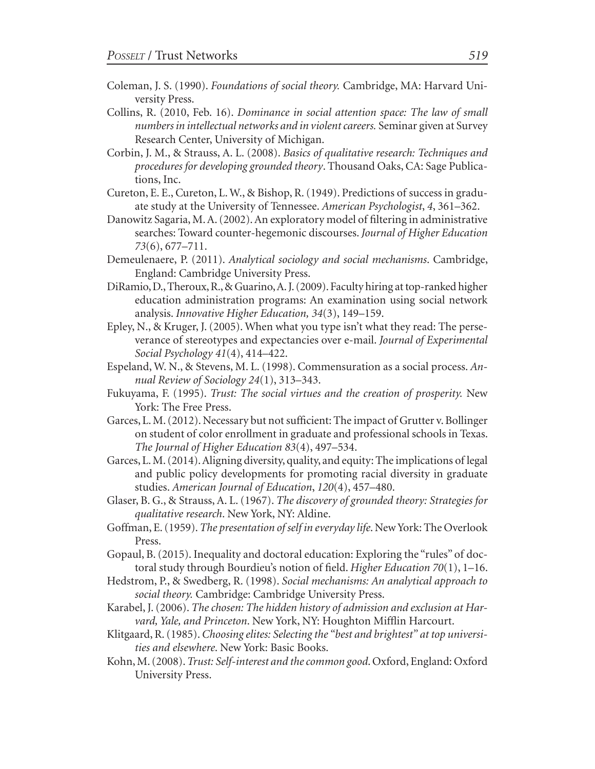- Coleman, J. S. (1990). *Foundations of social theory.* Cambridge, MA: Harvard University Press.
- Collins, R. (2010, Feb. 16). *Dominance in social attention space: The law of small numbers in intellectual networks and in violent careers.* Seminar given at Survey Research Center, University of Michigan.
- Corbin, J. M., & Strauss, A. L. (2008). *Basics of qualitative research: Techniques and procedures for developing grounded theory*. Thousand Oaks, CA: Sage Publications, Inc.
- Cureton, E. E., Cureton, L. W., & Bishop, R. (1949). Predictions of success in graduate study at the University of Tennessee. *American Psychologist*, *4*, 361–362.
- Danowitz Sagaria, M. A. (2002). An exploratory model of filtering in administrative searches: Toward counter-hegemonic discourses. *Journal of Higher Education 73*(6), 677–711.
- Demeulenaere, P. (2011). *Analytical sociology and social mechanisms*. Cambridge, England: Cambridge University Press.
- DiRamio, D., Theroux, R., & Guarino, A. J. (2009). Faculty hiring at top-ranked higher education administration programs: An examination using social network analysis. *Innovative Higher Education, 34*(3), 149–159.
- Epley, N., & Kruger, J. (2005). When what you type isn't what they read: The perseverance of stereotypes and expectancies over e-mail. *Journal of Experimental Social Psychology 41*(4), 414–422.
- Espeland, W. N., & Stevens, M. L. (1998). Commensuration as a social process. *Annual Review of Sociology 24*(1), 313–343.
- Fukuyama, F. (1995). *Trust: The social virtues and the creation of prosperity.* New York: The Free Press.
- Garces, L. M. (2012). Necessary but not sufficient: The impact of Grutter v. Bollinger on student of color enrollment in graduate and professional schools in Texas. *The Journal of Higher Education 83*(4), 497–534.
- Garces, L. M. (2014). Aligning diversity, quality, and equity: The implications of legal and public policy developments for promoting racial diversity in graduate studies. *American Journal of Education*, *120*(4), 457–480.
- Glaser, B. G., & Strauss, A. L. (1967). *The discovery of grounded theory: Strategies for qualitative research*. New York, NY: Aldine.
- Goffman, E. (1959). *The presentation of self in everyday life*. New York: The Overlook Press.
- Gopaul, B. (2015). Inequality and doctoral education: Exploring the "rules" of doctoral study through Bourdieu's notion of field. *Higher Education 70*(1), 1–16.
- Hedstrom, P., & Swedberg, R. (1998). *Social mechanisms: An analytical approach to social theory.* Cambridge: Cambridge University Press.
- Karabel, J. (2006). *The chosen: The hidden history of admission and exclusion at Harvard, Yale, and Princeton*. New York, NY: Houghton Mifflin Harcourt.
- Klitgaard, R. (1985). *Choosing elites: Selecting the "best and brightest" at top universities and elsewhere*. New York: Basic Books.
- Kohn, M. (2008). *Trust: Self-interest and the common good*. Oxford, England: Oxford University Press.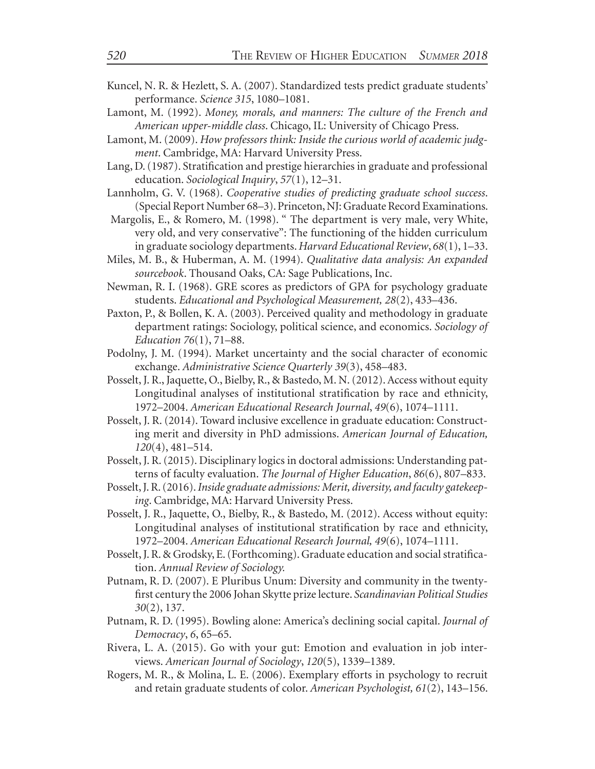- Kuncel, N. R. & Hezlett, S. A. (2007). Standardized tests predict graduate students' performance. *Science 315*, 1080–1081.
- Lamont, M. (1992). *Money, morals, and manners: The culture of the French and American upper-middle class*. Chicago, IL: University of Chicago Press.
- Lamont, M. (2009). *How professors think: Inside the curious world of academic judgment*. Cambridge, MA: Harvard University Press.
- Lang, D. (1987). Stratification and prestige hierarchies in graduate and professional education. *Sociological Inquiry*, *57*(1), 12–31.
- Lannholm, G. V. (1968). *Cooperative studies of predicting graduate school success*. (Special Report Number 68–3). Princeton, NJ: Graduate Record Examinations.
- Margolis, E., & Romero, M. (1998). " The department is very male, very White, very old, and very conservative": The functioning of the hidden curriculum in graduate sociology departments. *Harvard Educational Review*, *68*(1), 1–33.
- Miles, M. B., & Huberman, A. M. (1994). *Qualitative data analysis: An expanded sourcebook*. Thousand Oaks, CA: Sage Publications, Inc.
- Newman, R. I. (1968). GRE scores as predictors of GPA for psychology graduate students. *Educational and Psychological Measurement, 28*(2), 433–436.
- Paxton, P., & Bollen, K. A. (2003). Perceived quality and methodology in graduate department ratings: Sociology, political science, and economics. *Sociology of Education 76*(1), 71–88.
- Podolny, J. M. (1994). Market uncertainty and the social character of economic exchange. *Administrative Science Quarterly 39*(3), 458–483.
- Posselt, J. R., Jaquette, O., Bielby, R., & Bastedo, M. N. (2012). Access without equity Longitudinal analyses of institutional stratification by race and ethnicity, 1972–2004. *American Educational Research Journal*, *49*(6), 1074–1111.
- Posselt, J. R. (2014). Toward inclusive excellence in graduate education: Constructing merit and diversity in PhD admissions. *American Journal of Education, 120*(4), 481–514.
- Posselt, J. R. (2015). Disciplinary logics in doctoral admissions: Understanding patterns of faculty evaluation. *The Journal of Higher Education*, *86*(6), 807–833.
- Posselt, J. R. (2016). *Inside graduate admissions: Merit, diversity, and faculty gatekeeping*. Cambridge, MA: Harvard University Press.
- Posselt, J. R., Jaquette, O., Bielby, R., & Bastedo, M. (2012). Access without equity: Longitudinal analyses of institutional stratification by race and ethnicity, 1972–2004. *American Educational Research Journal, 49*(6), 1074–1111.
- Posselt, J. R. & Grodsky, E. (Forthcoming). Graduate education and social stratification. *Annual Review of Sociology.*
- Putnam, R. D. (2007). E Pluribus Unum: Diversity and community in the twentyfirst century the 2006 Johan Skytte prize lecture. *Scandinavian Political Studies 30*(2), 137.
- Putnam, R. D. (1995). Bowling alone: America's declining social capital. *Journal of Democracy*, *6*, 65–65.
- Rivera, L. A. (2015). Go with your gut: Emotion and evaluation in job interviews. *American Journal of Sociology*, *120*(5), 1339–1389.
- Rogers, M. R., & Molina, L. E. (2006). Exemplary efforts in psychology to recruit and retain graduate students of color. *American Psychologist, 61*(2), 143–156.